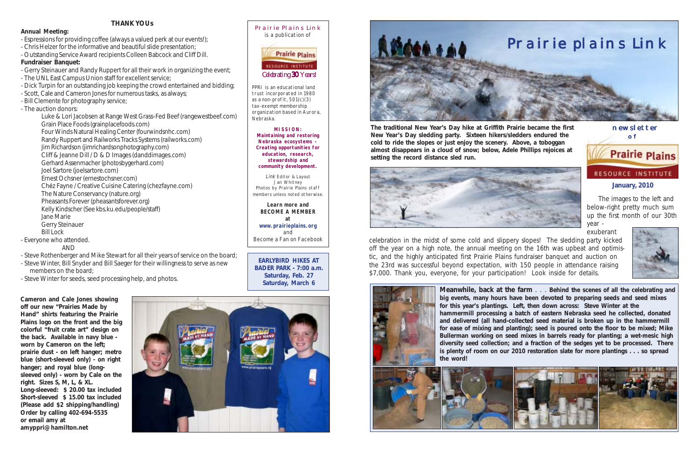

## **January, 2010**

 newsletter of



#### Prairie Plains Link is a publication of



PPRI is an educational land trust incorporated in 1980 as a non-profit, 501(c)(3) tax-exempt membership organization based in Aurora, Nebraska.

**MISSION: Maintaining and restoring Nebraska ecosystems - Creating opportunities for education, research, stewardship and community development.**

Link Editor & Layout Jan Whitney Photos by Prairie Plains staff members unless noted otherwise.

**Learn more and BECOME A MEMBER at www.prairieplains.org** and Become a Fan on Facebook

*Celebrating 30 Years! 30*

**The traditional New Year's Day hike at Griffith Prairie became the first New Year's Day sledding party. Sixteen hikers/sledders endured the cold to ride the slopes or just enjoy the scenery. Above, a toboggan almost disappears in a cloud of snow; below, Adele Phillips rejoices at setting the record distance sled run.**



 The images to the left and below-right pretty much sum up the first month of our 30th year -

exuberant



celebration in the midst of some cold and slippery slopes! The sledding party kicked off the year on a high note, the annual meeting on the 16th was upbeat and optimistic, and the highly anticipated first Prairie Plains fundraiser banquet and auction on the 23rd was successful beyond expectation, with 150 people in attendance raising \$7,000. Thank you, everyone, for your participation! Look inside for details.



**Meanwhile, back at the farm** . . . **Behind the scenes of all the celebrating and big events, many hours have been devoted to preparing seeds and seed mixes for this year's plantings. Left, then down across: Steve Winter at the hammermill processing a batch of eastern Nebraska seed he collected, donated and delivered (all hand-collected seed material is broken up in the hammermill for ease of mixing and planting); seed is poured onto the floor to be mixed; Mike Bullerman working on seed mixes in barrels ready for planting; a wet-mesic high diversity seed collection; and a fraction of the sedges yet to be processed. There is plenty of room on our 2010 restoration slate for more plantings . . . so spread the word!**



**Cameron and Cale Jones showing off our new "Prairies Made by Hand" shirts featuring the Prairie Plains logo on the front and the big colorful "fruit crate art" design on the back. Available in navy blue worn by Cameron on the left; prairie dust - on left hanger; metro blue (short-sleeved only) - on right hanger; and royal blue (longsleeved only) - worn by Cale on the right. Sizes S, M, L, & XL. Long-sleeved: \$ 20.00 tax included Short-sleeved \$ 15.00 tax included (Please add \$2 shipping/handling) Order by calling 402-694-5535 or email amy at amyppri@hamilton.net**



# **THANK YOUs**

### **Annual Meeting:**

- Espressions for providing coffee (always a valued perk at our events!);
- Chris Helzer for the informative and beautiful slide presentation;
- Outstanding Service Award recipients Colleen Babcock and Cliff Dill. **Fundraiser Banquet:**
- Gerry Steinauer and Randy Ruppert for all their work in organizing the event;
- The UNL East Campus Union staff for excellent service;
- Dick Turpin for an outstanding job keeping the crowd entertained and bidding;
- Scott, Cale and Cameron Jones for numerous tasks, as always;
- Bill Clemente for photography service;
- The auction donors:

Luke & Lori Jacobsen at Range West Grass-Fed Beef (rangewestbeef.com) Grain Place Foods (grainplacefoods.com) Four Winds Natural Healing Center (fourwindsnhc.com) Randy Ruppert and Railworks Tracks Systems (railworks.com) Jim Richardson (jimrichardsonphotography.com) Cliff & Jeanne Dill / D & D Images (danddimages.com) Gerhard Assenmacher (photosbygerhard.com) Joel Sartore (joelsartore.com) Ernest Ochsner (ernestochsner.com) Chéz Fayne / Creative Cuisine Catering (chezfayne.com) The Nature Conservancy (nature.org) Pheasants Forever (pheasantsforever.org) Kelly Kindscher (See kbs.ku.edu/people/staff) Jane Marie Gerry Steinauer

Bill Lock

- Everyone who attended.

AND

- Steve Rothenberger and Mike Stewart for all their years of service on the board;
- Steve Winter, Bill Snyder and Bill Saeger for their willingness to serve as new members on the board;
- Steve Winter for seeds, seed processing help, and photos.



**EARLYBIRD HIKES AT BADER PARK - 7:00 a.m. Saturday, Feb. 27 Saturday, March 6**